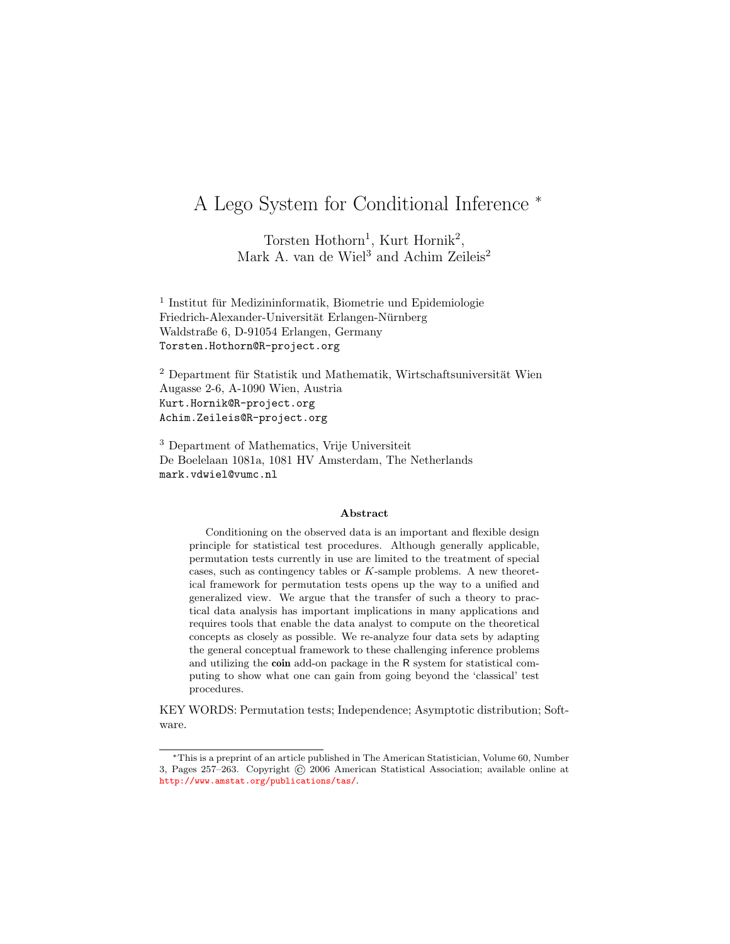# A Lego System for Conditional Inference <sup>∗</sup>

Torsten Hothorn<sup>1</sup>, Kurt Hornik<sup>2</sup>, Mark A. van de Wiel<sup>3</sup> and Achim Zeileis<sup>2</sup>

 $^1$ Institut für Medizininformatik, Biometrie und Epidemiologie Friedrich-Alexander-Universität Erlangen-Nürnberg Waldstraße 6, D-91054 Erlangen, Germany Torsten.Hothorn@R-project.org

 $2$  Department für Statistik und Mathematik, Wirtschaftsuniversität Wien Augasse 2-6, A-1090 Wien, Austria Kurt.Hornik@R-project.org Achim.Zeileis@R-project.org

<sup>3</sup> Department of Mathematics, Vrije Universiteit De Boelelaan 1081a, 1081 HV Amsterdam, The Netherlands mark.vdwiel@vumc.nl

#### Abstract

Conditioning on the observed data is an important and flexible design principle for statistical test procedures. Although generally applicable, permutation tests currently in use are limited to the treatment of special cases, such as contingency tables or  $K$ -sample problems. A new theoretical framework for permutation tests opens up the way to a unified and generalized view. We argue that the transfer of such a theory to practical data analysis has important implications in many applications and requires tools that enable the data analyst to compute on the theoretical concepts as closely as possible. We re-analyze four data sets by adapting the general conceptual framework to these challenging inference problems and utilizing the coin add-on package in the R system for statistical computing to show what one can gain from going beyond the 'classical' test procedures.

KEY WORDS: Permutation tests; Independence; Asymptotic distribution; Software.

<sup>∗</sup>This is a preprint of an article published in The American Statistician, Volume 60, Number 3, Pages 257–263. Copyright © 2006 American Statistical Association; available online at <http://www.amstat.org/publications/tas/>.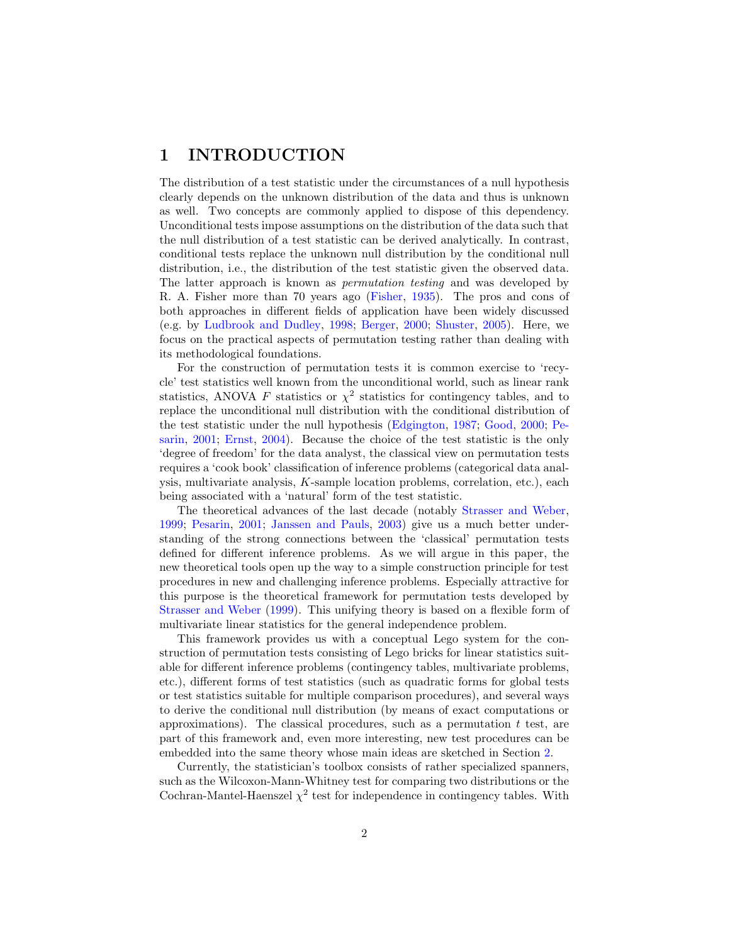## 1 INTRODUCTION

The distribution of a test statistic under the circumstances of a null hypothesis clearly depends on the unknown distribution of the data and thus is unknown as well. Two concepts are commonly applied to dispose of this dependency. Unconditional tests impose assumptions on the distribution of the data such that the null distribution of a test statistic can be derived analytically. In contrast, conditional tests replace the unknown null distribution by the conditional null distribution, i.e., the distribution of the test statistic given the observed data. The latter approach is known as *permutation testing* and was developed by R. A. Fisher more than 70 years ago [\(Fisher,](#page-14-0) [1935\)](#page-14-0). The pros and cons of both approaches in different fields of application have been widely discussed (e.g. by [Ludbrook and Dudley,](#page-15-0) [1998;](#page-15-0) [Berger,](#page-14-1) [2000;](#page-14-1) [Shuster,](#page-15-1) [2005\)](#page-15-1). Here, we focus on the practical aspects of permutation testing rather than dealing with its methodological foundations.

For the construction of permutation tests it is common exercise to 'recycle' test statistics well known from the unconditional world, such as linear rank statistics, ANOVA F statistics or  $\chi^2$  statistics for contingency tables, and to replace the unconditional null distribution with the conditional distribution of the test statistic under the null hypothesis [\(Edgington,](#page-14-2) [1987;](#page-14-2) [Good,](#page-15-2) [2000;](#page-15-2) [Pe](#page-15-3)[sarin,](#page-15-3) [2001;](#page-15-3) [Ernst,](#page-14-3) [2004\)](#page-14-3). Because the choice of the test statistic is the only 'degree of freedom' for the data analyst, the classical view on permutation tests requires a 'cook book' classification of inference problems (categorical data analysis, multivariate analysis, K-sample location problems, correlation, etc.), each being associated with a 'natural' form of the test statistic.

The theoretical advances of the last decade (notably [Strasser and Weber,](#page-15-4) [1999;](#page-15-4) [Pesarin,](#page-15-3) [2001;](#page-15-3) [Janssen and Pauls,](#page-15-5) [2003\)](#page-15-5) give us a much better understanding of the strong connections between the 'classical' permutation tests defined for different inference problems. As we will argue in this paper, the new theoretical tools open up the way to a simple construction principle for test procedures in new and challenging inference problems. Especially attractive for this purpose is the theoretical framework for permutation tests developed by [Strasser and Weber](#page-15-4) [\(1999\)](#page-15-4). This unifying theory is based on a flexible form of multivariate linear statistics for the general independence problem.

This framework provides us with a conceptual Lego system for the construction of permutation tests consisting of Lego bricks for linear statistics suitable for different inference problems (contingency tables, multivariate problems, etc.), different forms of test statistics (such as quadratic forms for global tests or test statistics suitable for multiple comparison procedures), and several ways to derive the conditional null distribution (by means of exact computations or approximations). The classical procedures, such as a permutation  $t$  test, are part of this framework and, even more interesting, new test procedures can be embedded into the same theory whose main ideas are sketched in Section [2.](#page-2-0)

Currently, the statistician's toolbox consists of rather specialized spanners, such as the Wilcoxon-Mann-Whitney test for comparing two distributions or the Cochran-Mantel-Haenszel  $\chi^2$  test for independence in contingency tables. With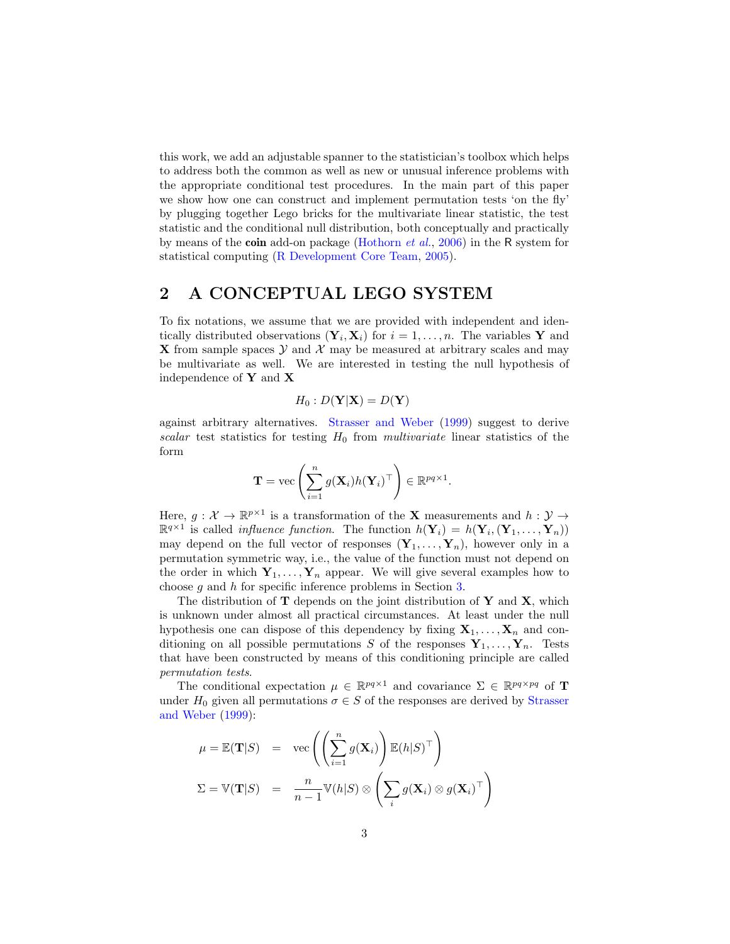this work, we add an adjustable spanner to the statistician's toolbox which helps to address both the common as well as new or unusual inference problems with the appropriate conditional test procedures. In the main part of this paper we show how one can construct and implement permutation tests 'on the fly' by plugging together Lego bricks for the multivariate linear statistic, the test statistic and the conditional null distribution, both conceptually and practically by means of the coin add-on package [\(Hothorn](#page-15-6) *et al.*, [2006\)](#page-15-6) in the R system for statistical computing [\(R Development Core Team,](#page-15-7) [2005\)](#page-15-7).

### <span id="page-2-0"></span>2 A CONCEPTUAL LEGO SYSTEM

To fix notations, we assume that we are provided with independent and identically distributed observations  $(\mathbf{Y}_i, \mathbf{X}_i)$  for  $i = 1, \ldots, n$ . The variables Y and **X** from sample spaces Y and X may be measured at arbitrary scales and may be multivariate as well. We are interested in testing the null hypothesis of independence of Y and X

$$
H_0: D(\mathbf{Y}|\mathbf{X}) = D(\mathbf{Y})
$$

against arbitrary alternatives. [Strasser and Weber](#page-15-4) [\(1999\)](#page-15-4) suggest to derive  $scalar$  test statistics for testing  $H_0$  from *multivariate* linear statistics of the form

$$
\mathbf{T} = \text{vec}\left(\sum_{i=1}^n g(\mathbf{X}_i) h(\mathbf{Y}_i)^\top\right) \in \mathbb{R}^{pq \times 1}.
$$

Here,  $g: \mathcal{X} \to \mathbb{R}^{p \times 1}$  is a transformation of the **X** measurements and  $h: \mathcal{Y} \to$  $\mathbb{R}^{q \times 1}$  is called *influence function*. The function  $h(\mathbf{Y}_i) = h(\mathbf{Y}_i, (\mathbf{Y}_1, \dots, \mathbf{Y}_n))$ may depend on the full vector of responses  $(Y_1, \ldots, Y_n)$ , however only in a permutation symmetric way, i.e., the value of the function must not depend on the order in which  $Y_1, \ldots, Y_n$  appear. We will give several examples how to choose g and h for specific inference problems in Section [3.](#page-4-0)

The distribution of  $T$  depends on the joint distribution of  $Y$  and  $X$ , which is unknown under almost all practical circumstances. At least under the null hypothesis one can dispose of this dependency by fixing  $X_1, \ldots, X_n$  and conditioning on all possible permutations S of the responses  $Y_1, \ldots, Y_n$ . Tests that have been constructed by means of this conditioning principle are called *permutation tests*.

The conditional expectation  $\mu \in \mathbb{R}^{pq \times 1}$  and covariance  $\Sigma \in \mathbb{R}^{pq \times pq}$  of **T** under  $H_0$  given all permutations  $\sigma \in S$  of the responses are derived by [Strasser](#page-15-4) [and Weber](#page-15-4) [\(1999\)](#page-15-4):

$$
\mu = \mathbb{E}(\mathbf{T}|S) = \text{vec}\left(\left(\sum_{i=1}^{n} g(\mathbf{X}_i)\right) \mathbb{E}(h|S)^{\top}\right)
$$

$$
\Sigma = \mathbb{V}(\mathbf{T}|S) = \frac{n}{n-1} \mathbb{V}(h|S) \otimes \left(\sum_{i} g(\mathbf{X}_i) \otimes g(\mathbf{X}_i)^{\top}\right)
$$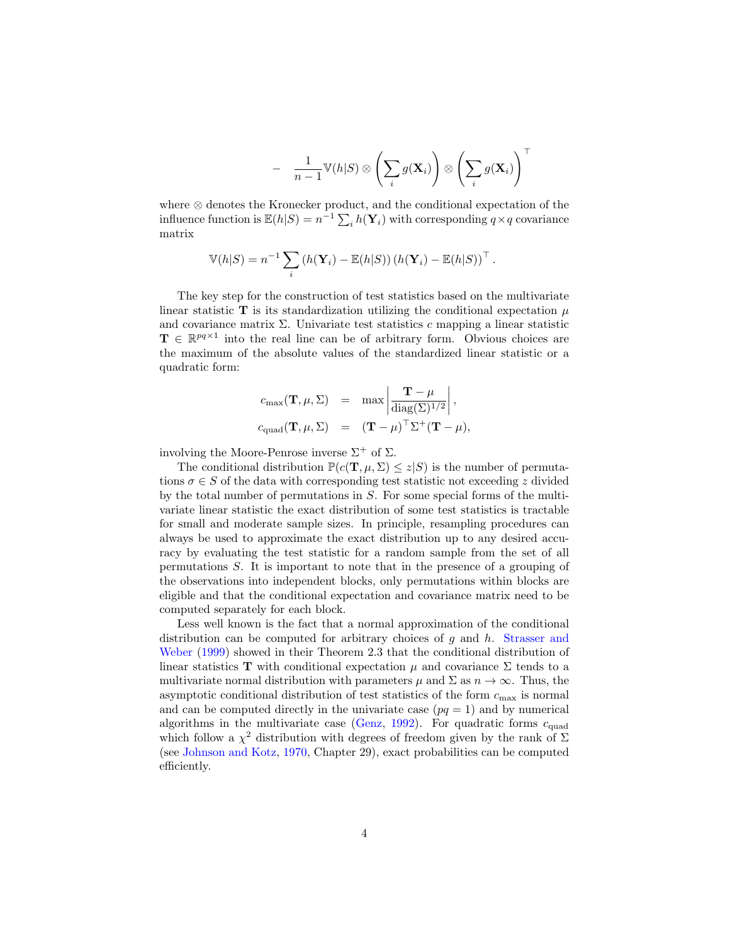$$
- \quad \frac{1}{n-1} \mathbb{V}(h|S) \otimes \left(\sum_i g(\mathbf{X}_i)\right) \otimes \left(\sum_i g(\mathbf{X}_i)\right)^{\top}
$$

where ⊗ denotes the Kronecker product, and the conditional expectation of the influence function is  $\mathbb{E}(h|S) = n^{-1} \sum_i h(\mathbf{Y}_i)$  with corresponding  $q \times q$  covariance matrix

$$
\mathbb{V}(h|S) = n^{-1} \sum_{i} \left( h(\mathbf{Y}_{i}) - \mathbb{E}(h|S) \right) \left( h(\mathbf{Y}_{i}) - \mathbb{E}(h|S) \right)^{\top}.
$$

The key step for the construction of test statistics based on the multivariate linear statistic T is its standardization utilizing the conditional expectation  $\mu$ and covariance matrix  $\Sigma$ . Univariate test statistics c mapping a linear statistic  $\mathbf{T} \in \mathbb{R}^{pq \times 1}$  into the real line can be of arbitrary form. Obvious choices are the maximum of the absolute values of the standardized linear statistic or a quadratic form:

$$
c_{\max}(\mathbf{T}, \mu, \Sigma) = \max \left| \frac{\mathbf{T} - \mu}{\text{diag}(\Sigma)^{1/2}} \right|,
$$
  

$$
c_{\text{quad}}(\mathbf{T}, \mu, \Sigma) = (\mathbf{T} - \mu)^{\top} \Sigma^{+} (\mathbf{T} - \mu),
$$

involving the Moore-Penrose inverse  $\Sigma^+$  of  $\Sigma$ .

The conditional distribution  $\mathbb{P}(c(\mathbf{T}, \mu, \Sigma) \leq z | S)$  is the number of permutations  $\sigma \in S$  of the data with corresponding test statistic not exceeding z divided by the total number of permutations in S. For some special forms of the multivariate linear statistic the exact distribution of some test statistics is tractable for small and moderate sample sizes. In principle, resampling procedures can always be used to approximate the exact distribution up to any desired accuracy by evaluating the test statistic for a random sample from the set of all permutations S. It is important to note that in the presence of a grouping of the observations into independent blocks, only permutations within blocks are eligible and that the conditional expectation and covariance matrix need to be computed separately for each block.

Less well known is the fact that a normal approximation of the conditional distribution can be computed for arbitrary choices of q and h. [Strasser and](#page-15-4) [Weber](#page-15-4) [\(1999\)](#page-15-4) showed in their Theorem 2.3 that the conditional distribution of linear statistics T with conditional expectation  $\mu$  and covariance  $\Sigma$  tends to a multivariate normal distribution with parameters  $\mu$  and  $\Sigma$  as  $n \to \infty$ . Thus, the asymptotic conditional distribution of test statistics of the form  $c_{\text{max}}$  is normal and can be computed directly in the univariate case  $(pq = 1)$  and by numerical algorithms in the multivariate case [\(Genz,](#page-14-4) [1992\)](#page-14-4). For quadratic forms  $c_{\text{quad}}$ which follow a  $\chi^2$  distribution with degrees of freedom given by the rank of  $\Sigma$ (see [Johnson and Kotz,](#page-15-8) [1970,](#page-15-8) Chapter 29), exact probabilities can be computed efficiently.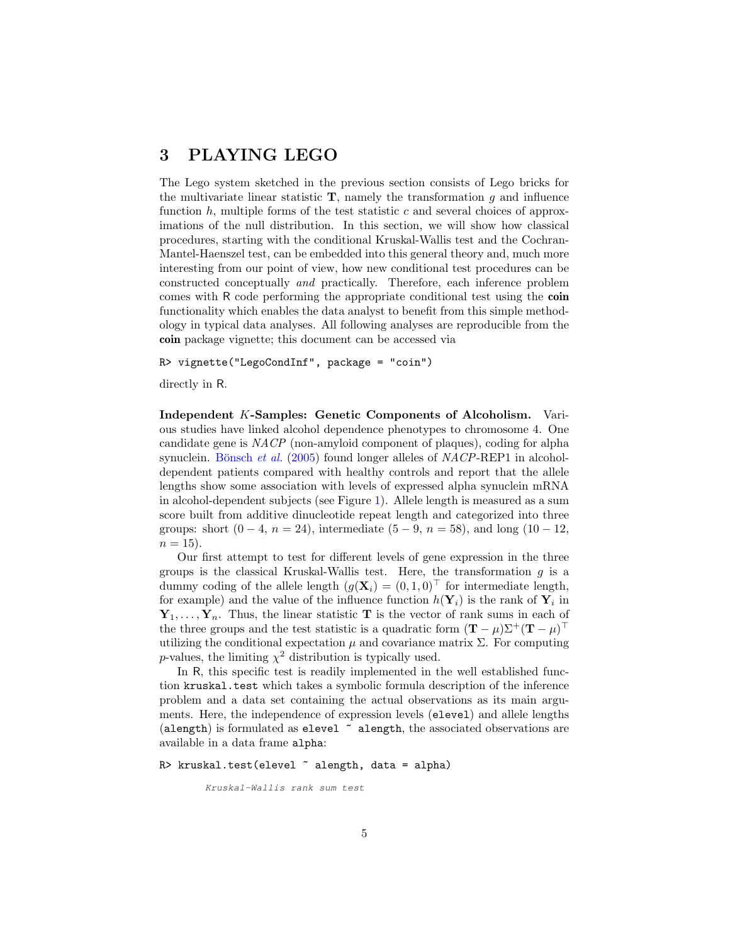### <span id="page-4-0"></span>3 PLAYING LEGO

The Lego system sketched in the previous section consists of Lego bricks for the multivariate linear statistic  $\mathbf{T}$ , namely the transformation g and influence function  $h$ , multiple forms of the test statistic  $c$  and several choices of approximations of the null distribution. In this section, we will show how classical procedures, starting with the conditional Kruskal-Wallis test and the Cochran-Mantel-Haenszel test, can be embedded into this general theory and, much more interesting from our point of view, how new conditional test procedures can be constructed conceptually *and* practically. Therefore, each inference problem comes with R code performing the appropriate conditional test using the coin functionality which enables the data analyst to benefit from this simple methodology in typical data analyses. All following analyses are reproducible from the coin package vignette; this document can be accessed via

R> vignette("LegoCondInf", package = "coin")

directly in R.

Independent K-Samples: Genetic Components of Alcoholism. Various studies have linked alcohol dependence phenotypes to chromosome 4. One candidate gene is *NACP* (non-amyloid component of plaques), coding for alpha synuclein. Bönsch *et al.* [\(2005\)](#page-14-5) found longer alleles of *NACP*-REP1 in alcoholdependent patients compared with healthy controls and report that the allele lengths show some association with levels of expressed alpha synuclein mRNA in alcohol-dependent subjects (see Figure [1\)](#page-5-0). Allele length is measured as a sum score built from additive dinucleotide repeat length and categorized into three groups: short  $(0 - 4, n = 24)$ , intermediate  $(5 - 9, n = 58)$ , and long  $(10 - 12,$  $n = 15$ ).

Our first attempt to test for different levels of gene expression in the three groups is the classical Kruskal-Wallis test. Here, the transformation  $q$  is a dummy coding of the allele length  $(g(\mathbf{X}_i) = (0, 1, 0)^\top$  for intermediate length, for example) and the value of the influence function  $h(\mathbf{Y}_i)$  is the rank of  $\mathbf{Y}_i$  in  $Y_1, \ldots, Y_n$ . Thus, the linear statistic T is the vector of rank sums in each of the three groups and the test statistic is a quadratic form  $(\mathbf{T} - \mu)\Sigma^{+}(\mathbf{T} - \mu)^{\top}$ utilizing the conditional expectation  $\mu$  and covariance matrix  $\Sigma$ . For computing p-values, the limiting  $\chi^2$  distribution is typically used.

In R, this specific test is readily implemented in the well established function kruskal.test which takes a symbolic formula description of the inference problem and a data set containing the actual observations as its main arguments. Here, the independence of expression levels (elevel) and allele lengths (alength) is formulated as elevel  $\tilde{ }$  alength, the associated observations are available in a data frame alpha:

```
R> kruskal.test(elevel \tilde{a} alength, data = alpha)
```

```
Kruskal-Wallis rank sum test
```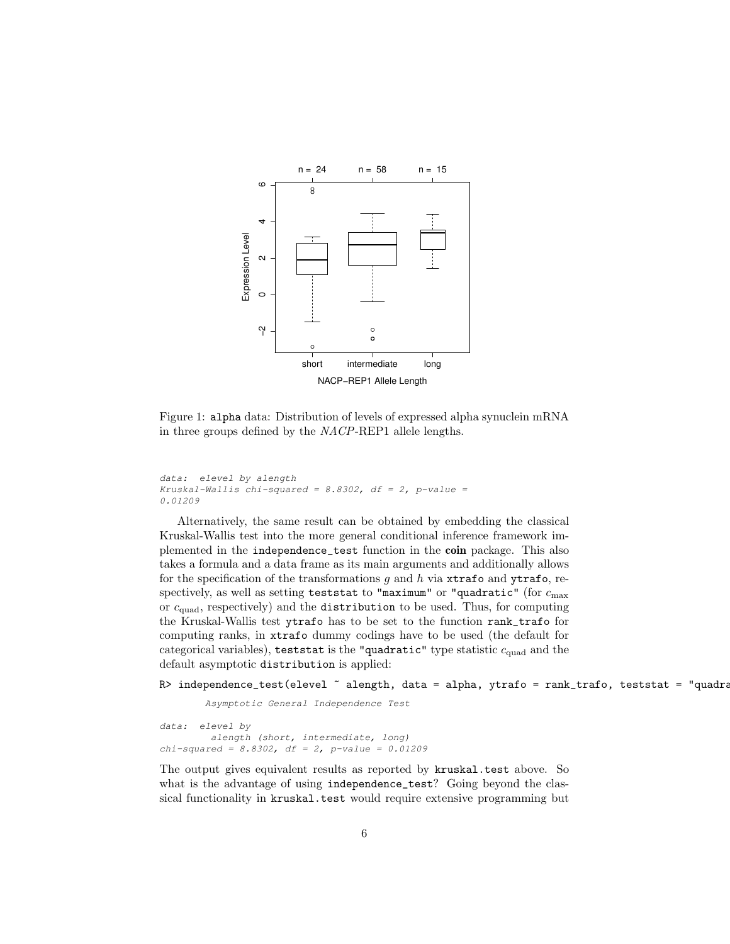

<span id="page-5-0"></span>Figure 1: alpha data: Distribution of levels of expressed alpha synuclein mRNA in three groups defined by the *NACP*-REP1 allele lengths.

```
data: elevel by alength
Kruskal-Wallis chi-squared = 8.8302, df = 2, p-value =
0.01209
```
Alternatively, the same result can be obtained by embedding the classical Kruskal-Wallis test into the more general conditional inference framework implemented in the independence\_test function in the coin package. This also takes a formula and a data frame as its main arguments and additionally allows for the specification of the transformations g and h via  $x$ trafo and ytrafo, respectively, as well as setting teststat to "maximum" or "quadratic" (for  $c_{\text{max}}$ or  $c_{quad}$ , respectively) and the distribution to be used. Thus, for computing the Kruskal-Wallis test ytrafo has to be set to the function rank\_trafo for computing ranks, in xtrafo dummy codings have to be used (the default for categorical variables), teststat is the "quadratic" type statistic  $c_{quad}$  and the default asymptotic distribution is applied:

### R> independence\_test(elevel ~ alength, data = alpha, ytrafo = rank\_trafo, teststat = "quadra

*Asymptotic General Independence Test*

```
data: elevel by
        alength (short, intermediate, long)
chi-squared = 8.8302, df = 2, p-value = 0.01209
```
The output gives equivalent results as reported by kruskal.test above. So what is the advantage of using independence\_test? Going beyond the classical functionality in kruskal.test would require extensive programming but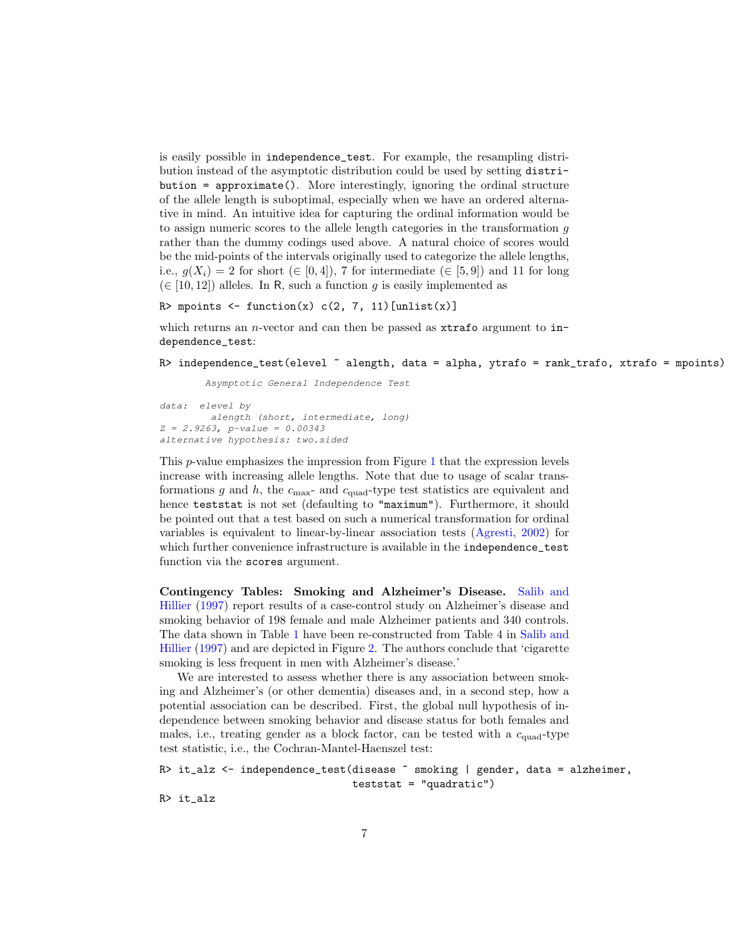is easily possible in independence\_test. For example, the resampling distribution instead of the asymptotic distribution could be used by setting distri $bution = approximate()$ . More interestingly, ignoring the ordinal structure of the allele length is suboptimal, especially when we have an ordered alternative in mind. An intuitive idea for capturing the ordinal information would be to assign numeric scores to the allele length categories in the transformation g rather than the dummy codings used above. A natural choice of scores would be the mid-points of the intervals originally used to categorize the allele lengths, i.e.,  $q(X_i) = 2$  for short  $(\in [0, 4])$ , 7 for intermediate  $(\in [5, 9])$  and 11 for long (∈ [10, 12]) alleles. In R, such a function g is easily implemented as

```
R> mpoints \leftarrow function(x) c(2, 7, 11)[unlist(x)]
```
which returns an *n*-vector and can then be passed as  $x$ trafo argument to independence\_test:

```
R> independence_test(elevel ~ alength, data = alpha, ytrafo = rank_trafo, xtrafo = mpoints)
```
*Asymptotic General Independence Test*

```
data: elevel by
        alength (short, intermediate, long)
Z = 2.9263, p-value = 0.00343
alternative hypothesis: two.sided
```
This p-value emphasizes the impression from Figure [1](#page-5-0) that the expression levels increase with increasing allele lengths. Note that due to usage of scalar transformations  $g$  and  $h$ , the  $c_{\text{max}}$ - and  $c_{\text{quad}}$ -type test statistics are equivalent and hence teststat is not set (defaulting to "maximum"). Furthermore, it should be pointed out that a test based on such a numerical transformation for ordinal variables is equivalent to linear-by-linear association tests [\(Agresti,](#page-14-6) [2002\)](#page-14-6) for which further convenience infrastructure is available in the **independence** test function via the scores argument.

Contingency Tables: Smoking and Alzheimer's Disease. [Salib and](#page-15-9) [Hillier](#page-15-9) [\(1997\)](#page-15-9) report results of a case-control study on Alzheimer's disease and smoking behavior of 198 female and male Alzheimer patients and 340 controls. The data shown in Table [1](#page-7-0) have been re-constructed from Table 4 in [Salib and](#page-15-9) [Hillier](#page-15-9) [\(1997\)](#page-15-9) and are depicted in Figure [2.](#page-8-0) The authors conclude that 'cigarette smoking is less frequent in men with Alzheimer's disease.'

We are interested to assess whether there is any association between smoking and Alzheimer's (or other dementia) diseases and, in a second step, how a potential association can be described. First, the global null hypothesis of independence between smoking behavior and disease status for both females and males, i.e., treating gender as a block factor, can be tested with a  $c_{quad}$ -type test statistic, i.e., the Cochran-Mantel-Haenszel test:

```
R> it_alz <- independence_test(disease ~ smoking | gender, data = alzheimer,
                               teststat = "quadratic")
```
R> it\_alz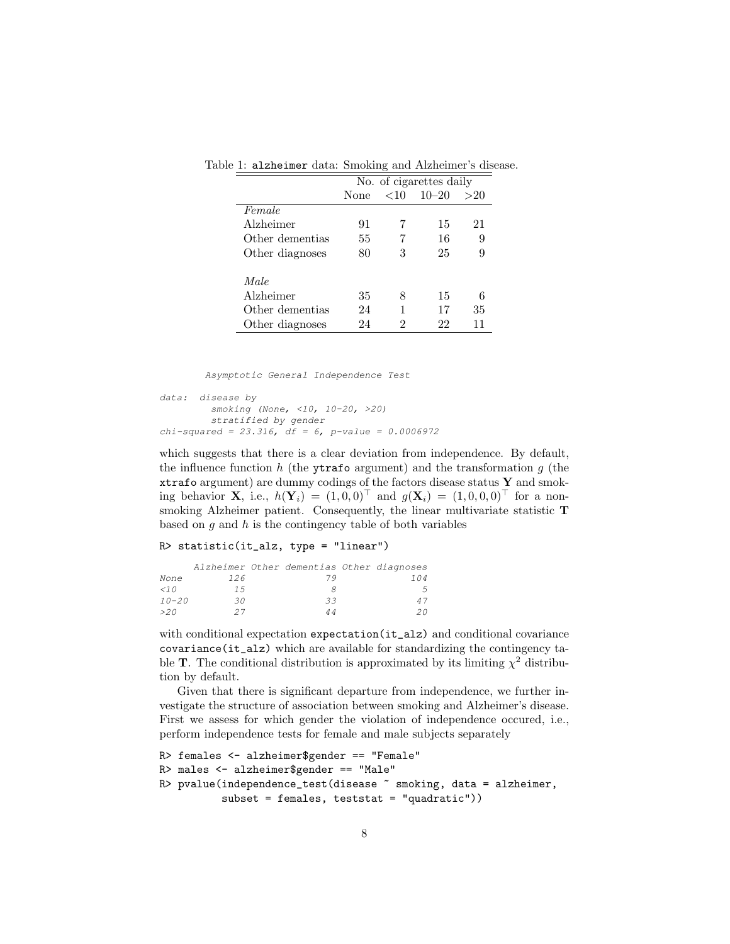<span id="page-7-0"></span>

|                 | No. of cigarettes daily         |   |    |    |  |  |  |
|-----------------|---------------------------------|---|----|----|--|--|--|
|                 | $10 - 20$<br><10<br>>20<br>None |   |    |    |  |  |  |
| Female          |                                 |   |    |    |  |  |  |
| Alzheimer       | 91                              |   | 15 | 21 |  |  |  |
| Other dementias | 55                              |   | 16 | 9  |  |  |  |
| Other diagnoses | 80                              | 3 | 25 | 9  |  |  |  |
| Male            |                                 |   |    |    |  |  |  |
| Alzheimer       | 35                              | 8 | 15 | 6  |  |  |  |
| Other dementias | 24                              |   | 17 | 35 |  |  |  |
| Other diagnoses | 24                              | 2 | 22 |    |  |  |  |

Table 1: alzheimer data: Smoking and Alzheimer's disease.

*Asymptotic General Independence Test*

```
data: disease by
        smoking (None, <10, 10-20, >20)
        stratified by gender
chi-squared = 23.316, df = 6, p-value = 0.0006972
```
which suggests that there is a clear deviation from independence. By default, the influence function h (the ytrafo argument) and the transformation g (the xtrafo argument) are dummy codings of the factors disease status  $Y$  and smoking behavior **X**, i.e.,  $h(\mathbf{Y}_i) = (1, 0, 0)^\top$  and  $g(\mathbf{X}_i) = (1, 0, 0, 0)^\top$  for a nonsmoking Alzheimer patient. Consequently, the linear multivariate statistic T based on  $g$  and  $h$  is the contingency table of both variables

#### R> statistic(it\_alz, type = "linear")

|           |     | Alzheimer Other dementias Other diagnoses |                |
|-----------|-----|-------------------------------------------|----------------|
| None      | 126 | 7 Q                                       | 104            |
| $\lt$ 10  | 15  |                                           | $\overline{a}$ |
| $10 - 20$ | 30  | 33                                        | 4 T            |
| > 2.0     | 27  |                                           | 20             |

with conditional expectation expectation (it\_alz) and conditional covariance covariance(it\_alz) which are available for standardizing the contingency table **T**. The conditional distribution is approximated by its limiting  $\chi^2$  distribution by default.

Given that there is significant departure from independence, we further investigate the structure of association between smoking and Alzheimer's disease. First we assess for which gender the violation of independence occured, i.e., perform independence tests for female and male subjects separately

```
R> females <- alzheimer$gender == "Female"
R> males <- alzheimer$gender == "Male"
R> pvalue(independence_test(disease ~ smoking, data = alzheimer,
          subset = females, teststat = "quadratic"))
```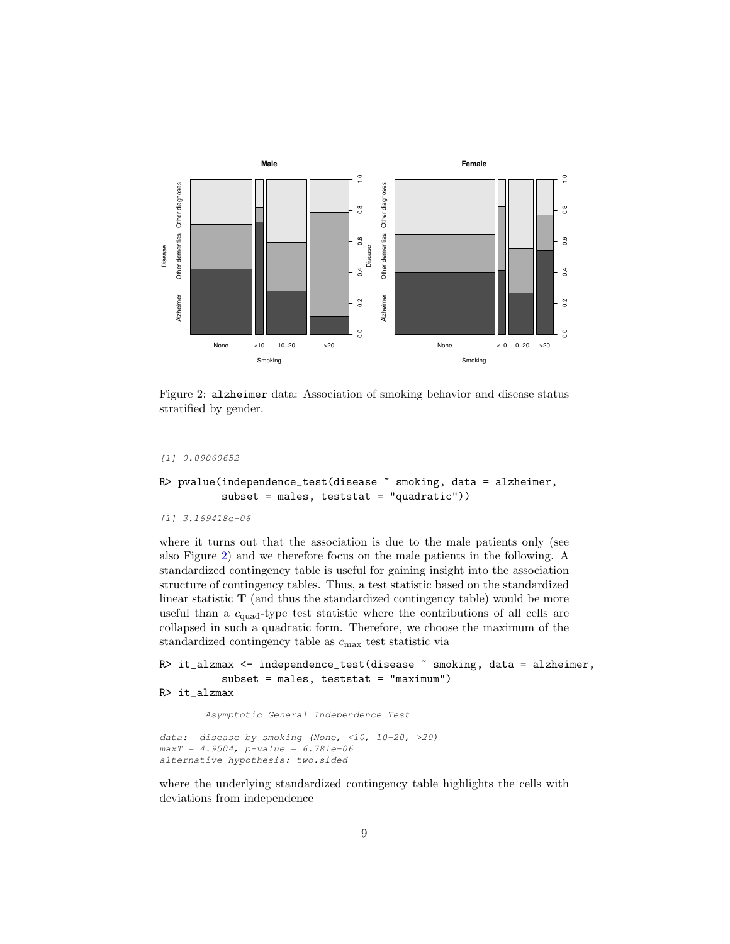

<span id="page-8-0"></span>Figure 2: alzheimer data: Association of smoking behavior and disease status stratified by gender.

```
[1] 0.09060652
```
### R> pvalue(independence\_test(disease ~ smoking, data = alzheimer, subset = males, teststat = "quadratic"))

```
[1] 3.169418e-06
```
where it turns out that the association is due to the male patients only (see also Figure [2\)](#page-8-0) and we therefore focus on the male patients in the following. A standardized contingency table is useful for gaining insight into the association structure of contingency tables. Thus, a test statistic based on the standardized linear statistic  $T$  (and thus the standardized contingency table) would be more useful than a  $c_{quad}$ -type test statistic where the contributions of all cells are collapsed in such a quadratic form. Therefore, we choose the maximum of the standardized contingency table as  $c_{\text{max}}$  test statistic via

```
R> it_alzmax <- independence_test(disease ~ smoking, data = alzheimer,
          subset = males, teststat = "maximum")
R> it_alzmax
```
*Asymptotic General Independence Test*

*data: disease by smoking (None, <10, 10-20, >20) maxT = 4.9504, p-value = 6.781e-06 alternative hypothesis: two.sided*

where the underlying standardized contingency table highlights the cells with deviations from independence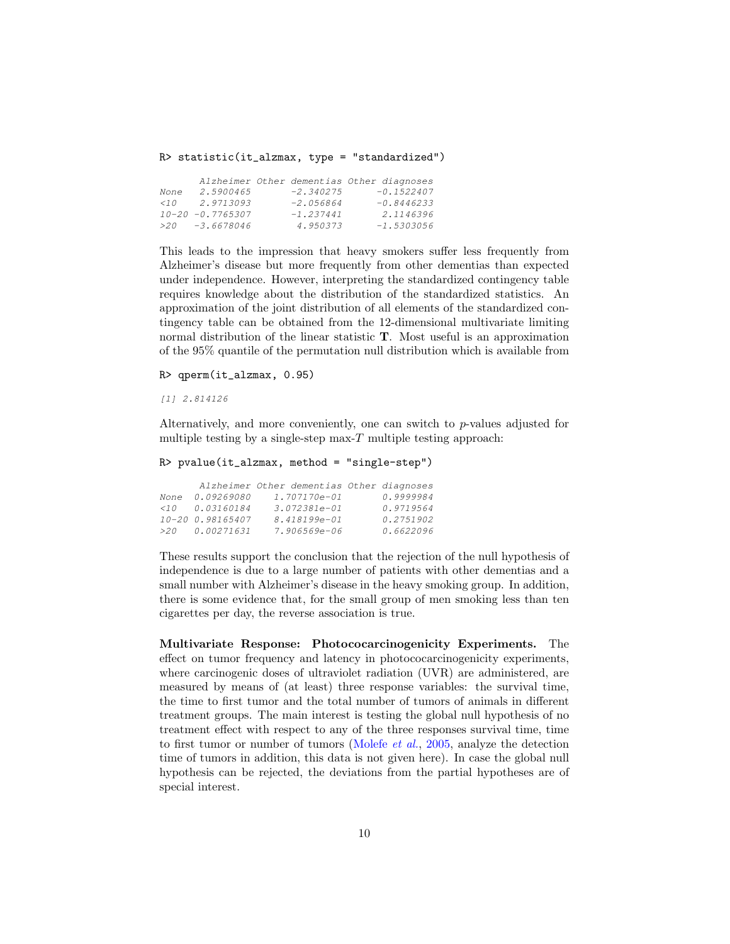R> statistic(it\_alzmax, type = "standardized")

|      |                       |             | Alzheimer Other dementias Other diagnoses |
|------|-----------------------|-------------|-------------------------------------------|
| None | 2.5900465             | $-2.340275$ | $-0.1522407$                              |
| < 10 | 2.9713093             | $-2.056864$ | $-0.8446233$                              |
|      | $10 - 20 - 0.7765307$ | $-1.237441$ | 2.1146396                                 |
|      | $>20$ $-3.6678046$    | 4.950373    | $-1.5303056$                              |

This leads to the impression that heavy smokers suffer less frequently from Alzheimer's disease but more frequently from other dementias than expected under independence. However, interpreting the standardized contingency table requires knowledge about the distribution of the standardized statistics. An approximation of the joint distribution of all elements of the standardized contingency table can be obtained from the 12-dimensional multivariate limiting normal distribution of the linear statistic T. Most useful is an approximation of the 95% quantile of the permutation null distribution which is available from

R> qperm(it\_alzmax, 0.95)

*[1] 2.814126*

Alternatively, and more conveniently, one can switch to  $p$ -values adjusted for multiple testing by a single-step max- $T$  multiple testing approach:

```
R> pvalue(it_alzmax, method = "single-step")
```

|          |                  | Alzheimer Other dementias Other diagnoses |           |
|----------|------------------|-------------------------------------------|-----------|
| None     | 0.09269080       | 1.707170e-01                              | 0.9999984 |
| $\lt$ 10 | 0.03160184       | $3.072381e - 01$                          | 0.9719564 |
|          | 10-20 0.98165407 | 8.418199e-01                              | 0.2751902 |
|          | $>20$ 0.00271631 | 7.906569e-06                              | 0.6622096 |

These results support the conclusion that the rejection of the null hypothesis of independence is due to a large number of patients with other dementias and a small number with Alzheimer's disease in the heavy smoking group. In addition, there is some evidence that, for the small group of men smoking less than ten cigarettes per day, the reverse association is true.

Multivariate Response: Photococarcinogenicity Experiments. The effect on tumor frequency and latency in photococarcinogenicity experiments, where carcinogenic doses of ultraviolet radiation (UVR) are administered, are measured by means of (at least) three response variables: the survival time, the time to first tumor and the total number of tumors of animals in different treatment groups. The main interest is testing the global null hypothesis of no treatment effect with respect to any of the three responses survival time, time to first tumor or number of tumors [\(Molefe](#page-15-10) *et al.*, [2005,](#page-15-10) analyze the detection time of tumors in addition, this data is not given here). In case the global null hypothesis can be rejected, the deviations from the partial hypotheses are of special interest.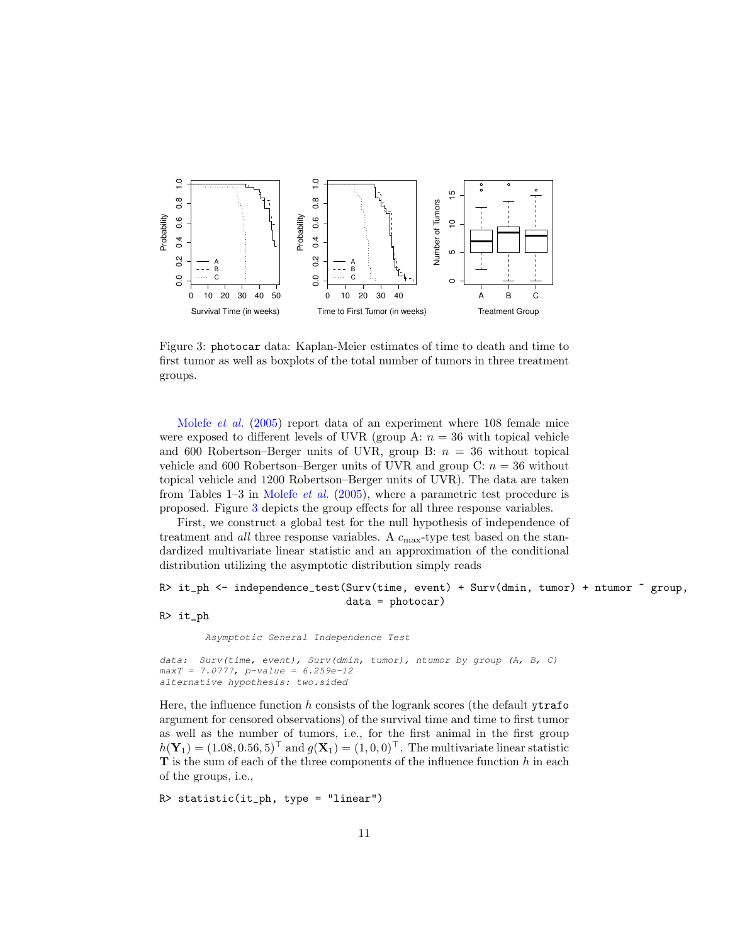

<span id="page-10-0"></span>Figure 3: photocar data: Kaplan-Meier estimates of time to death and time to first tumor as well as boxplots of the total number of tumors in three treatment groups.

[Molefe](#page-15-10) *et al.* [\(2005\)](#page-15-10) report data of an experiment where 108 female mice were exposed to different levels of UVR (group A:  $n = 36$  with topical vehicle and 600 Robertson–Berger units of UVR, group B:  $n = 36$  without topical vehicle and 600 Robertson–Berger units of UVR and group C:  $n = 36$  without topical vehicle and 1200 Robertson–Berger units of UVR). The data are taken from Tables 1–3 in [Molefe](#page-15-10) *et al.* [\(2005\)](#page-15-10), where a parametric test procedure is proposed. Figure [3](#page-10-0) depicts the group effects for all three response variables.

First, we construct a global test for the null hypothesis of independence of treatment and *all* three response variables. A  $c_{\text{max}}$ -type test based on the standardized multivariate linear statistic and an approximation of the conditional distribution utilizing the asymptotic distribution simply reads

```
R> it_ph <- independence_test(Surv(time, event) + Surv(dmin, tumor) + ntumor ~ group,
                              data = photocar)
```
#### R> it\_ph

*Asymptotic General Independence Test*

```
data: Surv(time, event), Surv(dmin, tumor), ntumor by group (A, B, C)
maxT = 7.0777, p-value = 6.259e-12
alternative hypothesis: two.sided
```
Here, the influence function h consists of the logrank scores (the default  $y\text{trafo}$ argument for censored observations) of the survival time and time to first tumor as well as the number of tumors, i.e., for the first animal in the first group  $h(\mathbf{Y}_1) = (1.08, 0.56, 5)^{\top}$  and  $g(\mathbf{X}_1) = (1, 0, 0)^{\top}$ . The multivariate linear statistic  **is the sum of each of the three components of the influence function**  $h$  **in each** of the groups, i.e.,

R> statistic(it\_ph, type = "linear")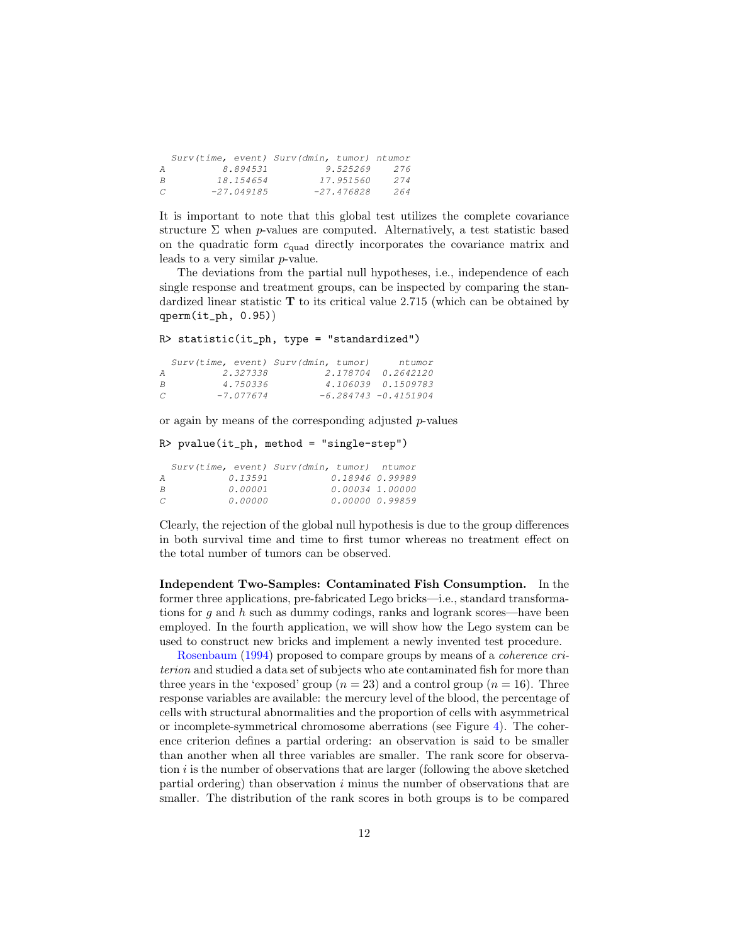|  |                          |           | 276                                                                                 |
|--|--------------------------|-----------|-------------------------------------------------------------------------------------|
|  |                          |           | 274                                                                                 |
|  |                          |           | 264                                                                                 |
|  | 8.894531<br>$-27.049185$ | 18.154654 | Surv(time, event) Surv(dmin, tumor) ntumor<br>9.525269<br>17.951560<br>$-27.476828$ |

It is important to note that this global test utilizes the complete covariance structure  $\Sigma$  when p-values are computed. Alternatively, a test statistic based on the quadratic form  $c_{quad}$  directly incorporates the covariance matrix and leads to a very similar p-value.

The deviations from the partial null hypotheses, i.e., independence of each single response and treatment groups, can be inspected by comparing the standardized linear statistic  $T$  to its critical value 2.715 (which can be obtained by qperm(it\_ph, 0.95))

```
R> statistic(it_ph, type = "standardized")
```

|   |             | Surv(time, event) Surv(dmin, tumor) | ntumor                  |
|---|-------------|-------------------------------------|-------------------------|
| A | 2.327338    |                                     | 2.178704 0.2642120      |
| B | 4.750336    |                                     | 4.106039 0.1509783      |
| C | $-7.077674$ |                                     | $-6.284743 - 0.4151904$ |

or again by means of the corresponding adjusted p-values

```
R> pvalue(it_ph, method = "single-step")
```

|   |         | Surv(time, event) Surv(dmin, tumor) ntumor |  |
|---|---------|--------------------------------------------|--|
| А | 0.13591 | 0.18946 0.99989                            |  |
| R | 0.00001 | 0.00034 1.00000                            |  |
| C | 0.00000 | 0.00000 0.99859                            |  |

Clearly, the rejection of the global null hypothesis is due to the group differences in both survival time and time to first tumor whereas no treatment effect on the total number of tumors can be observed.

Independent Two-Samples: Contaminated Fish Consumption. In the former three applications, pre-fabricated Lego bricks—i.e., standard transformations for q and h such as dummy codings, ranks and logrank scores—have been employed. In the fourth application, we will show how the Lego system can be used to construct new bricks and implement a newly invented test procedure.

[Rosenbaum](#page-15-11) [\(1994\)](#page-15-11) proposed to compare groups by means of a *coherence criterion* and studied a data set of subjects who ate contaminated fish for more than three years in the 'exposed' group  $(n = 23)$  and a control group  $(n = 16)$ . Three response variables are available: the mercury level of the blood, the percentage of cells with structural abnormalities and the proportion of cells with asymmetrical or incomplete-symmetrical chromosome aberrations (see Figure [4\)](#page-12-0). The coherence criterion defines a partial ordering: an observation is said to be smaller than another when all three variables are smaller. The rank score for observation  $i$  is the number of observations that are larger (following the above sketched partial ordering) than observation  $i$  minus the number of observations that are smaller. The distribution of the rank scores in both groups is to be compared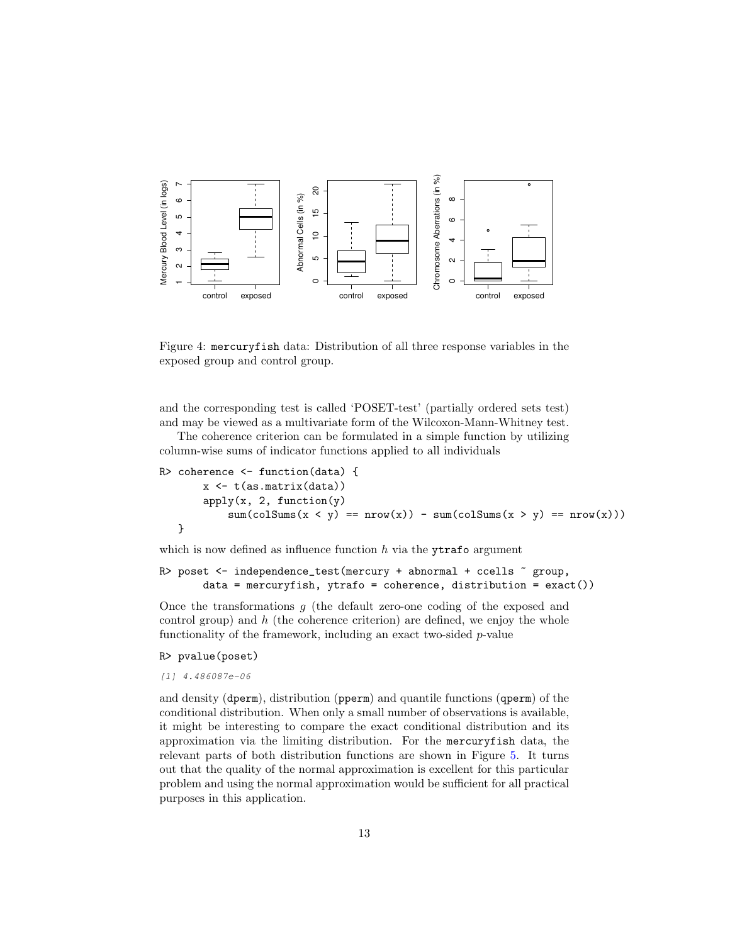

<span id="page-12-0"></span>Figure 4: mercuryfish data: Distribution of all three response variables in the exposed group and control group.

and the corresponding test is called 'POSET-test' (partially ordered sets test) and may be viewed as a multivariate form of the Wilcoxon-Mann-Whitney test.

The coherence criterion can be formulated in a simple function by utilizing column-wise sums of indicator functions applied to all individuals

```
R> coherence <- function(data) {
       x <- t(as.matrix(data))
       apply(x, 2, function(y))sum(colSums(x < y) == nrow(x)) - sum(colSums(x > y) == nrow(x)))}
```
which is now defined as influence function  $h$  via the ytrafo argument

```
R> poset \le independence_test(mercury + abnormal + ccells \tilde{ } group,
       data = mercuryfish, ytrafo = coherence, distribution = exact())
```
Once the transformations  $q$  (the default zero-one coding of the exposed and control group) and  $h$  (the coherence criterion) are defined, we enjoy the whole functionality of the framework, including an exact two-sided  $p$ -value

#### R> pvalue(poset)

*[1] 4.486087e-06*

and density (dperm), distribution (pperm) and quantile functions (qperm) of the conditional distribution. When only a small number of observations is available, it might be interesting to compare the exact conditional distribution and its approximation via the limiting distribution. For the mercuryfish data, the relevant parts of both distribution functions are shown in Figure [5.](#page-13-0) It turns out that the quality of the normal approximation is excellent for this particular problem and using the normal approximation would be sufficient for all practical purposes in this application.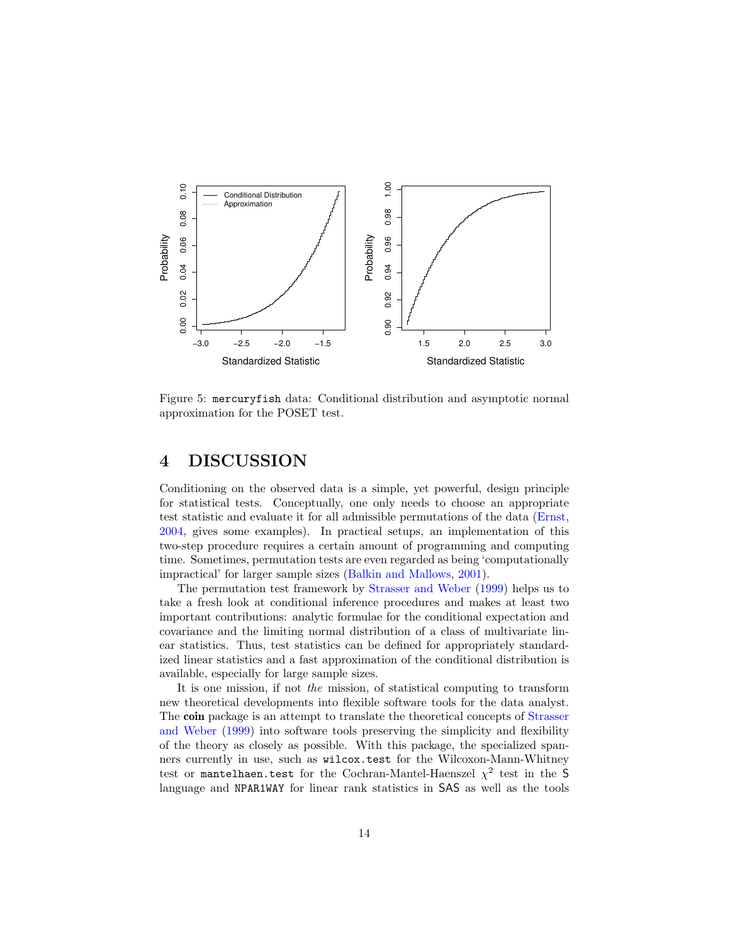

<span id="page-13-0"></span>Figure 5: mercuryfish data: Conditional distribution and asymptotic normal approximation for the POSET test.

# 4 DISCUSSION

Conditioning on the observed data is a simple, yet powerful, design principle for statistical tests. Conceptually, one only needs to choose an appropriate test statistic and evaluate it for all admissible permutations of the data [\(Ernst,](#page-14-3) [2004,](#page-14-3) gives some examples). In practical setups, an implementation of this two-step procedure requires a certain amount of programming and computing time. Sometimes, permutation tests are even regarded as being 'computationally impractical' for larger sample sizes [\(Balkin and Mallows,](#page-14-7) [2001\)](#page-14-7).

The permutation test framework by [Strasser and Weber](#page-15-4) [\(1999\)](#page-15-4) helps us to take a fresh look at conditional inference procedures and makes at least two important contributions: analytic formulae for the conditional expectation and covariance and the limiting normal distribution of a class of multivariate linear statistics. Thus, test statistics can be defined for appropriately standardized linear statistics and a fast approximation of the conditional distribution is available, especially for large sample sizes.

It is one mission, if not *the* mission, of statistical computing to transform new theoretical developments into flexible software tools for the data analyst. The coin package is an attempt to translate the theoretical concepts of [Strasser](#page-15-4) [and Weber](#page-15-4) [\(1999\)](#page-15-4) into software tools preserving the simplicity and flexibility of the theory as closely as possible. With this package, the specialized spanners currently in use, such as wilcox.test for the Wilcoxon-Mann-Whitney test or mantelhaen.test for the Cochran-Mantel-Haenszel  $\chi^2$  test in the S language and NPAR1WAY for linear rank statistics in SAS as well as the tools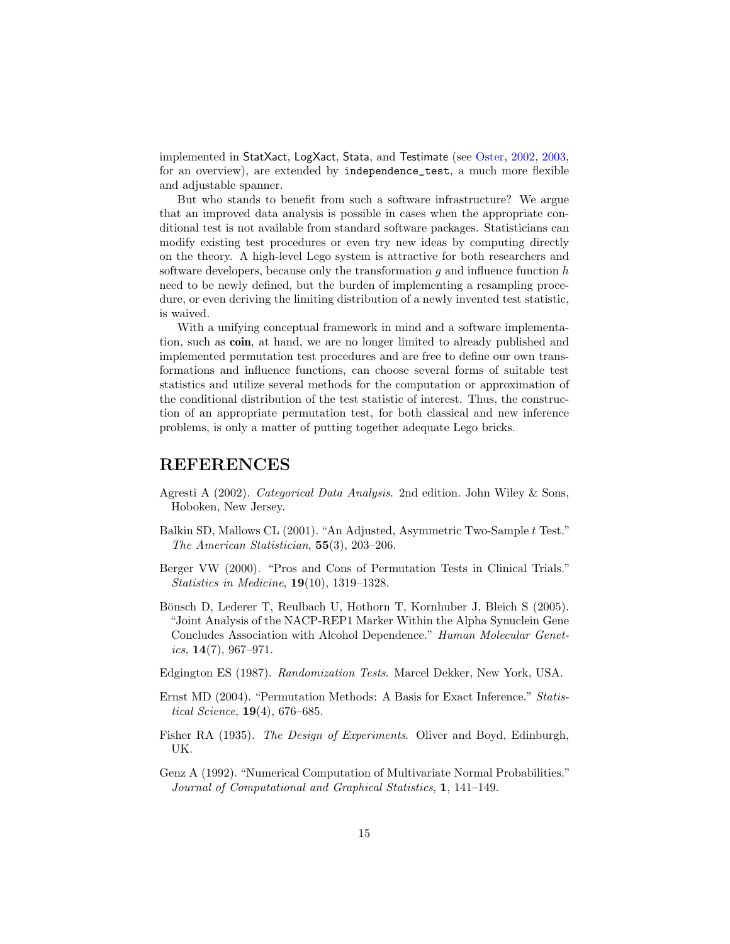implemented in StatXact, LogXact, Stata, and Testimate (see [Oster,](#page-15-12) [2002,](#page-15-12) [2003,](#page-15-13) for an overview), are extended by independence\_test, a much more flexible and adjustable spanner.

But who stands to benefit from such a software infrastructure? We argue that an improved data analysis is possible in cases when the appropriate conditional test is not available from standard software packages. Statisticians can modify existing test procedures or even try new ideas by computing directly on the theory. A high-level Lego system is attractive for both researchers and software developers, because only the transformation  $q$  and influence function  $h$ need to be newly defined, but the burden of implementing a resampling procedure, or even deriving the limiting distribution of a newly invented test statistic, is waived.

With a unifying conceptual framework in mind and a software implementation, such as coin, at hand, we are no longer limited to already published and implemented permutation test procedures and are free to define our own transformations and influence functions, can choose several forms of suitable test statistics and utilize several methods for the computation or approximation of the conditional distribution of the test statistic of interest. Thus, the construction of an appropriate permutation test, for both classical and new inference problems, is only a matter of putting together adequate Lego bricks.

### REFERENCES

- <span id="page-14-6"></span>Agresti A (2002). *Categorical Data Analysis*. 2nd edition. John Wiley & Sons, Hoboken, New Jersey.
- <span id="page-14-7"></span>Balkin SD, Mallows CL (2001). "An Adjusted, Asymmetric Two-Sample t Test." *The American Statistician*, 55(3), 203–206.
- <span id="page-14-1"></span>Berger VW (2000). "Pros and Cons of Permutation Tests in Clinical Trials." *Statistics in Medicine*, 19(10), 1319–1328.
- <span id="page-14-5"></span>Bönsch D, Lederer T, Reulbach U, Hothorn T, Kornhuber J, Bleich S (2005). "Joint Analysis of the NACP-REP1 Marker Within the Alpha Synuclein Gene Concludes Association with Alcohol Dependence." *Human Molecular Genetics*, 14(7), 967–971.
- <span id="page-14-2"></span>Edgington ES (1987). *Randomization Tests*. Marcel Dekker, New York, USA.
- <span id="page-14-3"></span>Ernst MD (2004). "Permutation Methods: A Basis for Exact Inference." *Statistical Science*, 19(4), 676–685.
- <span id="page-14-0"></span>Fisher RA (1935). *The Design of Experiments*. Oliver and Boyd, Edinburgh, UK.
- <span id="page-14-4"></span>Genz A (1992). "Numerical Computation of Multivariate Normal Probabilities." *Journal of Computational and Graphical Statistics*, 1, 141–149.